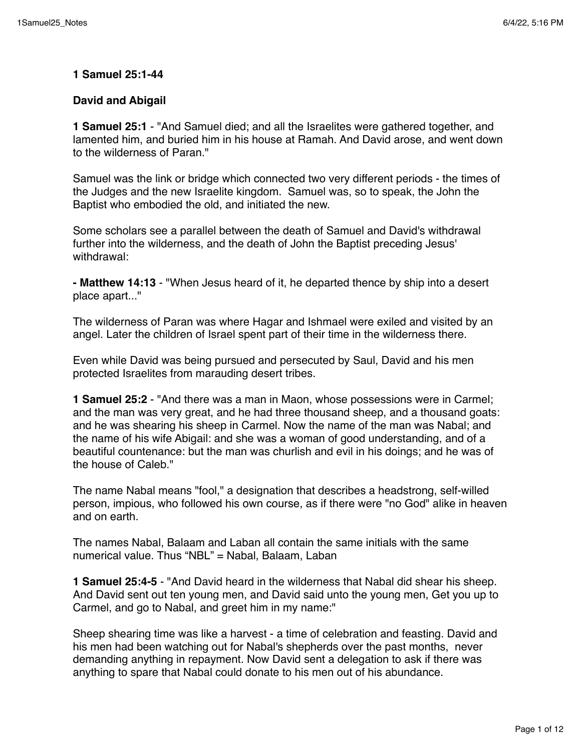#### **1 Samuel 25:1-44**

#### **David and Abigail**

**1 Samuel 25:1** - "And Samuel died; and all the Israelites were gathered together, and lamented him, and buried him in his house at Ramah. And David arose, and went down to the wilderness of Paran."

Samuel was the link or bridge which connected two very different periods - the times of the Judges and the new Israelite kingdom. Samuel was, so to speak, the John the Baptist who embodied the old, and initiated the new.

Some scholars see a parallel between the death of Samuel and David's withdrawal further into the wilderness, and the death of John the Baptist preceding Jesus' withdrawal:

**- Matthew 14:13** - "When Jesus heard of it, he departed thence by ship into a desert place apart..."

The wilderness of Paran was where Hagar and Ishmael were exiled and visited by an angel. Later the children of Israel spent part of their time in the wilderness there.

Even while David was being pursued and persecuted by Saul, David and his men protected Israelites from marauding desert tribes.

**1 Samuel 25:2** - "And there was a man in Maon, whose possessions were in Carmel; and the man was very great, and he had three thousand sheep, and a thousand goats: and he was shearing his sheep in Carmel. Now the name of the man was Nabal; and the name of his wife Abigail: and she was a woman of good understanding, and of a beautiful countenance: but the man was churlish and evil in his doings; and he was of the house of Caleb."

The name Nabal means "fool," a designation that describes a headstrong, self-willed person, impious, who followed his own course, as if there were "no God" alike in heaven and on earth.

The names Nabal, Balaam and Laban all contain the same initials with the same numerical value. Thus "NBL" = Nabal, Balaam, Laban

**1 Samuel 25:4-5** - "And David heard in the wilderness that Nabal did shear his sheep. And David sent out ten young men, and David said unto the young men, Get you up to Carmel, and go to Nabal, and greet him in my name:"

Sheep shearing time was like a harvest - a time of celebration and feasting. David and his men had been watching out for Nabal's shepherds over the past months, never demanding anything in repayment. Now David sent a delegation to ask if there was anything to spare that Nabal could donate to his men out of his abundance.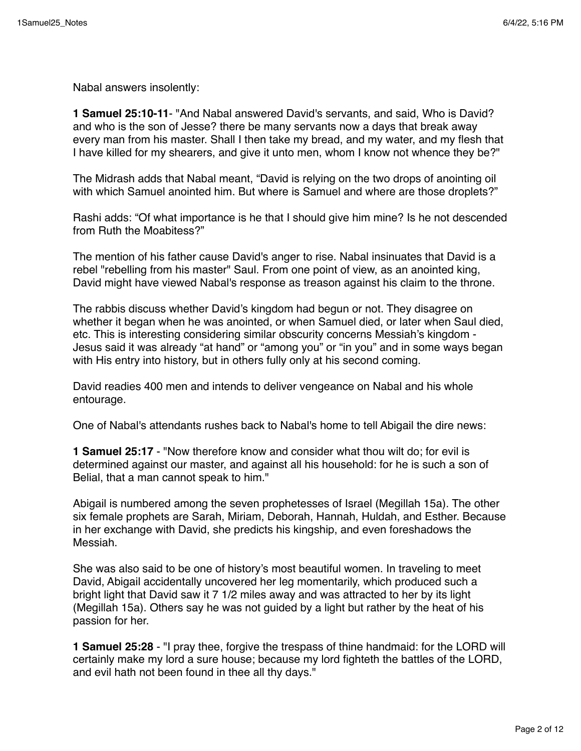Nabal answers insolently:

**1 Samuel 25:10-11**- "And Nabal answered David's servants, and said, Who is David? and who is the son of Jesse? there be many servants now a days that break away every man from his master. Shall I then take my bread, and my water, and my flesh that I have killed for my shearers, and give it unto men, whom I know not whence they be?"

The Midrash adds that Nabal meant, "David is relying on the two drops of anointing oil with which Samuel anointed him. But where is Samuel and where are those droplets?"

Rashi adds: "Of what importance is he that I should give him mine? Is he not descended from Ruth the Moabitess?"

The mention of his father cause David's anger to rise. Nabal insinuates that David is a rebel "rebelling from his master" Saul. From one point of view, as an anointed king, David might have viewed Nabal's response as treason against his claim to the throne.

The rabbis discuss whether David's kingdom had begun or not. They disagree on whether it began when he was anointed, or when Samuel died, or later when Saul died, etc. This is interesting considering similar obscurity concerns Messiah's kingdom - Jesus said it was already "at hand" or "among you" or "in you" and in some ways began with His entry into history, but in others fully only at his second coming.

David readies 400 men and intends to deliver vengeance on Nabal and his whole entourage.

One of Nabal's attendants rushes back to Nabal's home to tell Abigail the dire news:

**1 Samuel 25:17** - "Now therefore know and consider what thou wilt do; for evil is determined against our master, and against all his household: for he is such a son of Belial, that a man cannot speak to him."

Abigail is numbered among the seven prophetesses of Israel (Megillah 15a). The other six female prophets are Sarah, Miriam, Deborah, Hannah, Huldah, and Esther. Because in her exchange with David, she predicts his kingship, and even foreshadows the Messiah.

She was also said to be one of history's most beautiful women. In traveling to meet David, Abigail accidentally uncovered her leg momentarily, which produced such a bright light that David saw it 7 1/2 miles away and was attracted to her by its light (Megillah 15a). Others say he was not guided by a light but rather by the heat of his passion for her.

**1 Samuel 25:28** - "I pray thee, forgive the trespass of thine handmaid: for the LORD will certainly make my lord a sure house; because my lord fighteth the battles of the LORD, and evil hath not been found in thee all thy days."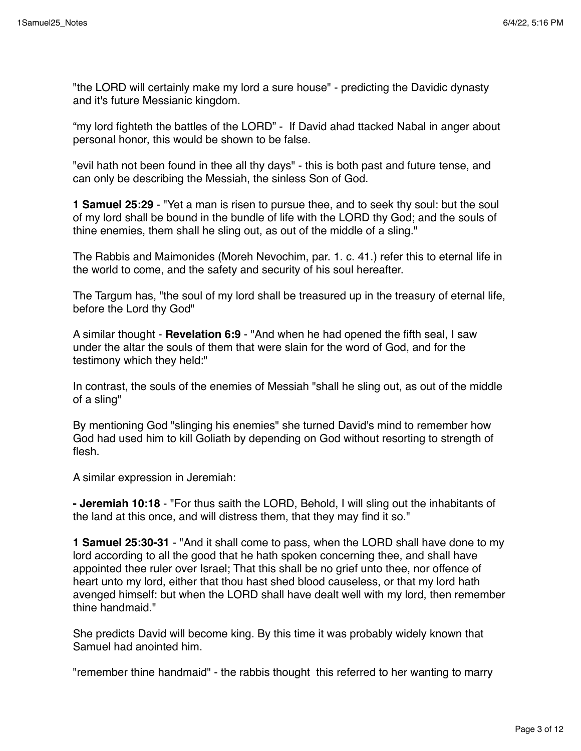"the LORD will certainly make my lord a sure house" - predicting the Davidic dynasty and it's future Messianic kingdom.

"my lord fighteth the battles of the LORD" - If David ahad ttacked Nabal in anger about personal honor, this would be shown to be false.

"evil hath not been found in thee all thy days" - this is both past and future tense, and can only be describing the Messiah, the sinless Son of God.

**1 Samuel 25:29** - "Yet a man is risen to pursue thee, and to seek thy soul: but the soul of my lord shall be bound in the bundle of life with the LORD thy God; and the souls of thine enemies, them shall he sling out, as out of the middle of a sling."

The Rabbis and Maimonides (Moreh Nevochim, par. 1. c. 41.) refer this to eternal life in the world to come, and the safety and security of his soul hereafter.

The Targum has, "the soul of my lord shall be treasured up in the treasury of eternal life, before the Lord thy God"

A similar thought - **Revelation 6:9** - "And when he had opened the fifth seal, I saw under the altar the souls of them that were slain for the word of God, and for the testimony which they held:"

In contrast, the souls of the enemies of Messiah "shall he sling out, as out of the middle of a sling"

By mentioning God "slinging his enemies" she turned David's mind to remember how God had used him to kill Goliath by depending on God without resorting to strength of flesh.

A similar expression in Jeremiah:

**- Jeremiah 10:18** - "For thus saith the LORD, Behold, I will sling out the inhabitants of the land at this once, and will distress them, that they may find it so."

**1 Samuel 25:30-31** - "And it shall come to pass, when the LORD shall have done to my lord according to all the good that he hath spoken concerning thee, and shall have appointed thee ruler over Israel; That this shall be no grief unto thee, nor offence of heart unto my lord, either that thou hast shed blood causeless, or that my lord hath avenged himself: but when the LORD shall have dealt well with my lord, then remember thine handmaid."

She predicts David will become king. By this time it was probably widely known that Samuel had anointed him.

"remember thine handmaid" - the rabbis thought this referred to her wanting to marry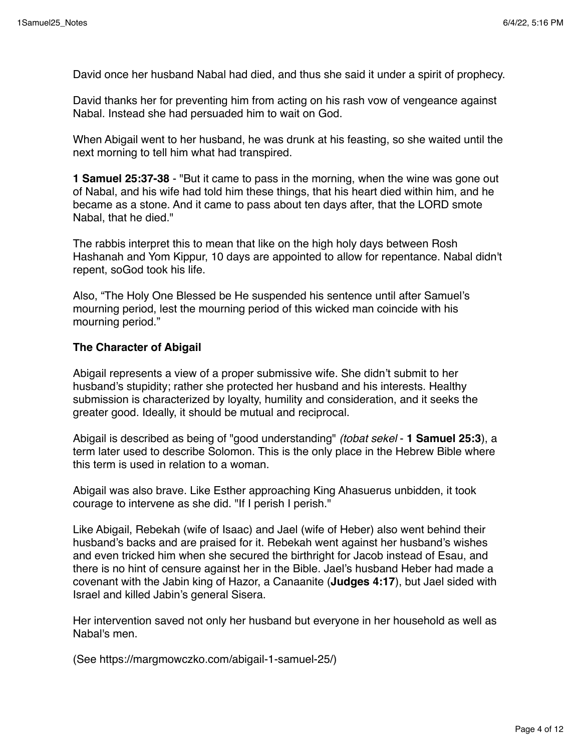David once her husband Nabal had died, and thus she said it under a spirit of prophecy.

David thanks her for preventing him from acting on his rash vow of vengeance against Nabal. Instead she had persuaded him to wait on God.

When Abigail went to her husband, he was drunk at his feasting, so she waited until the next morning to tell him what had transpired.

**1 Samuel 25:37-38** - "But it came to pass in the morning, when the wine was gone out of Nabal, and his wife had told him these things, that his heart died within him, and he became as a stone. And it came to pass about ten days after, that the LORD smote Nabal, that he died."

The rabbis interpret this to mean that like on the high holy days between Rosh Hashanah and Yom Kippur, 10 days are appointed to allow for repentance. Nabal didn't repent, soGod took his life.

Also, "The Holy One Blessed be He suspended his sentence until after Samuel's mourning period, lest the mourning period of this wicked man coincide with his mourning period."

#### **The Character of Abigail**

Abigail represents a view of a proper submissive wife. She didn't submit to her husband's stupidity; rather she protected her husband and his interests. Healthy submission is characterized by loyalty, humility and consideration, and it seeks the greater good. Ideally, it should be mutual and reciprocal.

Abigail is described as being of "good understanding" *(tobat sekel* - **1 Samuel 25:3**), a term later used to describe Solomon. This is the only place in the Hebrew Bible where this term is used in relation to a woman.

Abigail was also brave. Like Esther approaching King Ahasuerus unbidden, it took courage to intervene as she did. "If I perish I perish."

Like Abigail, Rebekah (wife of Isaac) and Jael (wife of Heber) also went behind their husband's backs and are praised for it. Rebekah went against her husband's wishes and even tricked him when she secured the birthright for Jacob instead of Esau, and there is no hint of censure against her in the Bible. Jael's husband Heber had made a covenant with the Jabin king of Hazor, a Canaanite (**Judges 4:17**), but Jael sided with Israel and killed Jabin's general Sisera.

Her intervention saved not only her husband but everyone in her household as well as Nabal's men.

(See https://margmowczko.com/abigail-1-samuel-25/)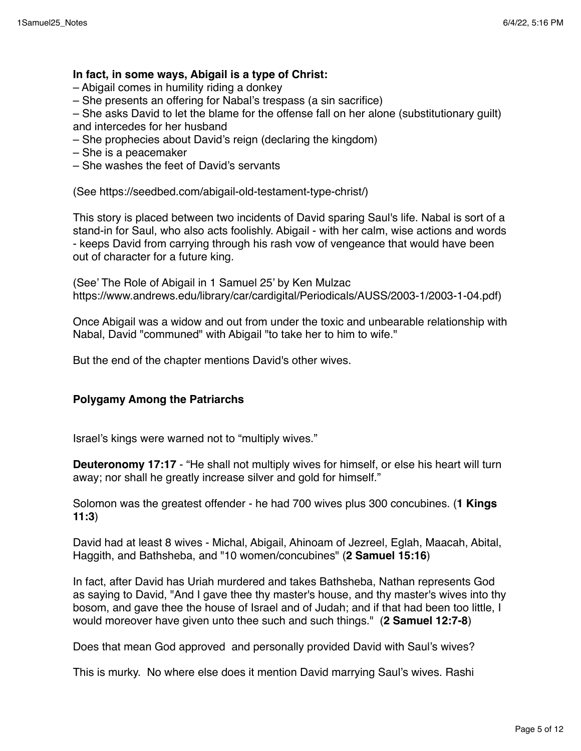# **In fact, in some ways, Abigail is a type of Christ:**

- Abigail comes in humility riding a donkey
- She presents an offering for Nabal's trespass (a sin sacrifice)

– She asks David to let the blame for the offense fall on her alone (substitutionary guilt) and intercedes for her husband

- She prophecies about David's reign (declaring the kingdom)
- She is a peacemaker
- She washes the feet of David's servants

(See https://seedbed.com/abigail-old-testament-type-christ/)

This story is placed between two incidents of David sparing Saul's life. Nabal is sort of a stand-in for Saul, who also acts foolishly. Abigail - with her calm, wise actions and words - keeps David from carrying through his rash vow of vengeance that would have been out of character for a future king.

(See' The Role of Abigail in 1 Samuel 25' by Ken Mulzac https://www.andrews.edu/library/car/cardigital/Periodicals/AUSS/2003-1/2003-1-04.pdf)

Once Abigail was a widow and out from under the toxic and unbearable relationship with Nabal, David "communed" with Abigail "to take her to him to wife."

But the end of the chapter mentions David's other wives.

#### **Polygamy Among the Patriarchs**

Israel's kings were warned not to "multiply wives."

**Deuteronomy 17:17** - "He shall not multiply wives for himself, or else his heart will turn away; nor shall he greatly increase silver and gold for himself."

Solomon was the greatest offender - he had 700 wives plus 300 concubines. (**1 Kings 11:3**)

David had at least 8 wives - Michal, Abigail, Ahinoam of Jezreel, Eglah, Maacah, Abital, Haggith, and Bathsheba, and "10 women/concubines" (**2 Samuel 15:16**)

In fact, after David has Uriah murdered and takes Bathsheba, Nathan represents God as saying to David, "And I gave thee thy master's house, and thy master's wives into thy bosom, and gave thee the house of Israel and of Judah; and if that had been too little, I would moreover have given unto thee such and such things." (**2 Samuel 12:7-8**)

Does that mean God approved and personally provided David with Saul's wives?

This is murky. No where else does it mention David marrying Saul's wives. Rashi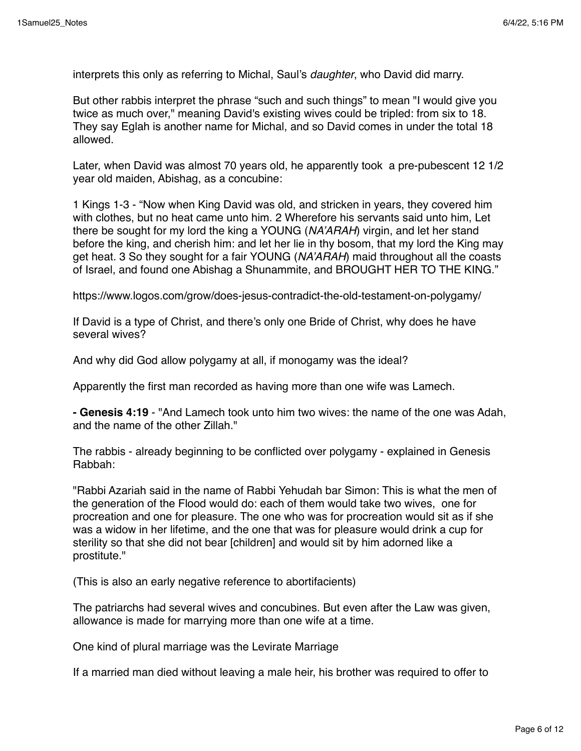interprets this only as referring to Michal, Saul's *daughter*, who David did marry.

But other rabbis interpret the phrase "such and such things" to mean "I would give you twice as much over," meaning David's existing wives could be tripled: from six to 18. They say Eglah is another name for Michal, and so David comes in under the total 18 allowed.

Later, when David was almost 70 years old, he apparently took a pre-pubescent 12 1/2 year old maiden, Abishag, as a concubine:

1 Kings 1-3 - "Now when King David was old, and stricken in years, they covered him with clothes, but no heat came unto him. 2 Wherefore his servants said unto him, Let there be sought for my lord the king a YOUNG (*NA'ARAH*) virgin, and let her stand before the king, and cherish him: and let her lie in thy bosom, that my lord the King may get heat. 3 So they sought for a fair YOUNG (*NA'ARAH*) maid throughout all the coasts of Israel, and found one Abishag a Shunammite, and BROUGHT HER TO THE KING."

https://www.logos.com/grow/does-jesus-contradict-the-old-testament-on-polygamy/

If David is a type of Christ, and there's only one Bride of Christ, why does he have several wives?

And why did God allow polygamy at all, if monogamy was the ideal?

Apparently the first man recorded as having more than one wife was Lamech.

**- Genesis 4:19** - "And Lamech took unto him two wives: the name of the one was Adah, and the name of the other Zillah."

The rabbis - already beginning to be conflicted over polygamy - explained in Genesis Rabbah:

"Rabbi Azariah said in the name of Rabbi Yehudah bar Simon: This is what the men of the generation of the Flood would do: each of them would take two wives, one for procreation and one for pleasure. The one who was for procreation would sit as if she was a widow in her lifetime, and the one that was for pleasure would drink a cup for sterility so that she did not bear [children] and would sit by him adorned like a prostitute."

(This is also an early negative reference to abortifacients)

The patriarchs had several wives and concubines. But even after the Law was given, allowance is made for marrying more than one wife at a time.

One kind of plural marriage was the Levirate Marriage

If a married man died without leaving a male heir, his brother was required to offer to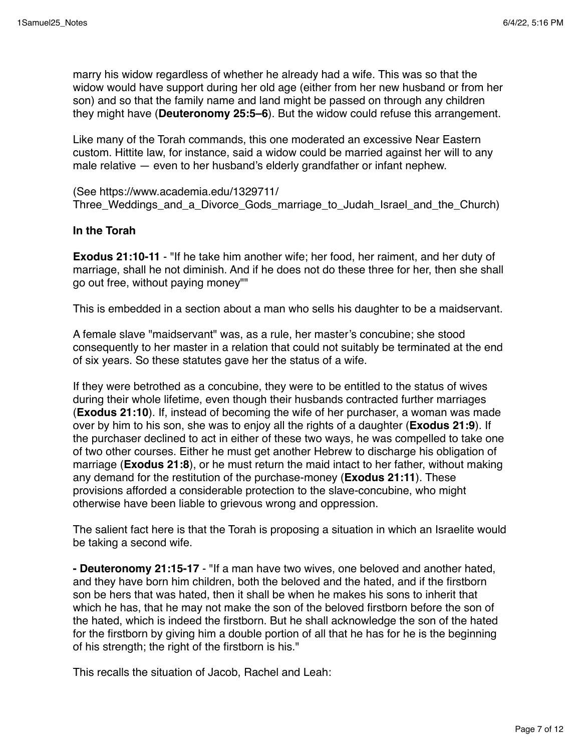marry his widow regardless of whether he already had a wife. This was so that the widow would have support during her old age (either from her new husband or from her son) and so that the family name and land might be passed on through any children they might have (**Deuteronomy 25:5–6**). But the widow could refuse this arrangement.

Like many of the Torah commands, this one moderated an excessive Near Eastern custom. Hittite law, for instance, said a widow could be married against her will to any male relative — even to her husband's elderly grandfather or infant nephew.

(See https://www.academia.edu/1329711/ Three Weddings and a Divorce Gods marriage to Judah Israel and the Church)

# **In the Torah**

**Exodus 21:10-11** - "If he take him another wife; her food, her raiment, and her duty of marriage, shall he not diminish. And if he does not do these three for her, then she shall go out free, without paying money""

This is embedded in a section about a man who sells his daughter to be a maidservant.

A female slave "maidservant" was, as a rule, her master's concubine; she stood consequently to her master in a relation that could not suitably be terminated at the end of six years. So these statutes gave her the status of a wife.

If they were betrothed as a concubine, they were to be entitled to the status of wives during their whole lifetime, even though their husbands contracted further marriages (**Exodus 21:10**). If, instead of becoming the wife of her purchaser, a woman was made over by him to his son, she was to enjoy all the rights of a daughter (**Exodus 21:9**). If the purchaser declined to act in either of these two ways, he was compelled to take one of two other courses. Either he must get another Hebrew to discharge his obligation of marriage (**Exodus 21:8**), or he must return the maid intact to her father, without making any demand for the restitution of the purchase-money (**Exodus 21:11**). These provisions afforded a considerable protection to the slave-concubine, who might otherwise have been liable to grievous wrong and oppression.

The salient fact here is that the Torah is proposing a situation in which an Israelite would be taking a second wife.

**- Deuteronomy 21:15-17** - "If a man have two wives, one beloved and another hated, and they have born him children, both the beloved and the hated, and if the firstborn son be hers that was hated, then it shall be when he makes his sons to inherit that which he has, that he may not make the son of the beloved firstborn before the son of the hated, which is indeed the firstborn. But he shall acknowledge the son of the hated for the firstborn by giving him a double portion of all that he has for he is the beginning of his strength; the right of the firstborn is his."

This recalls the situation of Jacob, Rachel and Leah: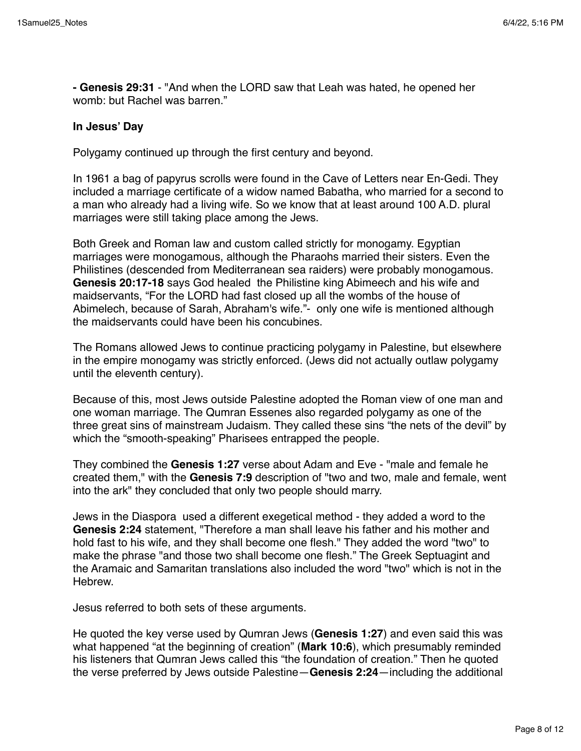**- Genesis 29:31** - "And when the LORD saw that Leah was hated, he opened her womb: but Rachel was barren."

#### **In Jesus' Day**

Polygamy continued up through the first century and beyond.

In 1961 a bag of papyrus scrolls were found in the Cave of Letters near En-Gedi. They included a marriage certificate of a widow named Babatha, who married for a second to a man who already had a living wife. So we know that at least around 100 A.D. plural marriages were still taking place among the Jews.

Both Greek and Roman law and custom called strictly for monogamy. Egyptian marriages were monogamous, although the Pharaohs married their sisters. Even the Philistines (descended from Mediterranean sea raiders) were probably monogamous. **Genesis 20:17-18** says God healed the Philistine king Abimeech and his wife and maidservants, "For the LORD had fast closed up all the wombs of the house of Abimelech, because of Sarah, Abraham's wife."- only one wife is mentioned although the maidservants could have been his concubines.

The Romans allowed Jews to continue practicing polygamy in Palestine, but elsewhere in the empire monogamy was strictly enforced. (Jews did not actually outlaw polygamy until the eleventh century).

Because of this, most Jews outside Palestine adopted the Roman view of one man and one woman marriage. The Qumran Essenes also regarded polygamy as one of the three great sins of mainstream Judaism. They called these sins "the nets of the devil" by which the "smooth-speaking" Pharisees entrapped the people.

They combined the **Genesis 1:27** verse about Adam and Eve - "male and female he created them," with the **Genesis 7:9** description of "two and two, male and female, went into the ark" they concluded that only two people should marry.

Jews in the Diaspora used a different exegetical method - they added a word to the **Genesis 2:24** statement, "Therefore a man shall leave his father and his mother and hold fast to his wife, and they shall become one flesh." They added the word "two" to make the phrase "and those two shall become one flesh." The Greek Septuagint and the Aramaic and Samaritan translations also included the word "two" which is not in the **Hebrew** 

Jesus referred to both sets of these arguments.

He quoted the key verse used by Qumran Jews (**Genesis 1:27**) and even said this was what happened "at the beginning of creation" (**Mark 10:6**), which presumably reminded his listeners that Qumran Jews called this "the foundation of creation." Then he quoted the verse preferred by Jews outside Palestine—**Genesis 2:24**—including the additional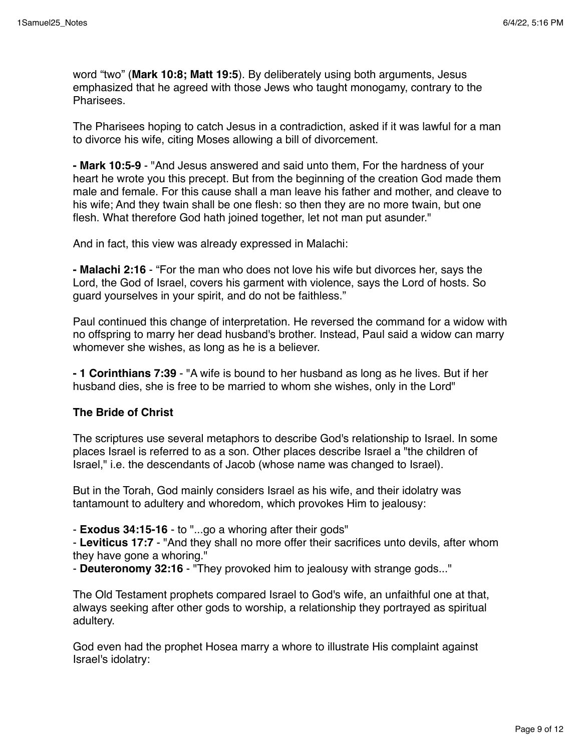word "two" (**Mark 10:8; Matt 19:5**). By deliberately using both arguments, Jesus emphasized that he agreed with those Jews who taught monogamy, contrary to the Pharisees.

The Pharisees hoping to catch Jesus in a contradiction, asked if it was lawful for a man to divorce his wife, citing Moses allowing a bill of divorcement.

**- Mark 10:5-9** - "And Jesus answered and said unto them, For the hardness of your heart he wrote you this precept. But from the beginning of the creation God made them male and female. For this cause shall a man leave his father and mother, and cleave to his wife; And they twain shall be one flesh: so then they are no more twain, but one flesh. What therefore God hath joined together, let not man put asunder."

And in fact, this view was already expressed in Malachi:

**- Malachi 2:16** - "For the man who does not love his wife but divorces her, says the Lord, the God of Israel, covers his garment with violence, says the Lord of hosts. So guard yourselves in your spirit, and do not be faithless."

Paul continued this change of interpretation. He reversed the command for a widow with no offspring to marry her dead husband's brother. Instead, Paul said a widow can marry whomever she wishes, as long as he is a believer.

**- 1 Corinthians 7:39** - "A wife is bound to her husband as long as he lives. But if her husband dies, she is free to be married to whom she wishes, only in the Lord"

# **The Bride of Christ**

The scriptures use several metaphors to describe God's relationship to Israel. In some places Israel is referred to as a son. Other places describe Israel a "the children of Israel," i.e. the descendants of Jacob (whose name was changed to Israel).

But in the Torah, God mainly considers Israel as his wife, and their idolatry was tantamount to adultery and whoredom, which provokes Him to jealousy:

- **Exodus 34:15-16** - to "...go a whoring after their gods"

- **Leviticus 17:7** - "And they shall no more offer their sacrifices unto devils, after whom they have gone a whoring."

- **Deuteronomy 32:16** - "They provoked him to jealousy with strange gods..."

The Old Testament prophets compared Israel to God's wife, an unfaithful one at that, always seeking after other gods to worship, a relationship they portrayed as spiritual adultery.

God even had the prophet Hosea marry a whore to illustrate His complaint against Israel's idolatry: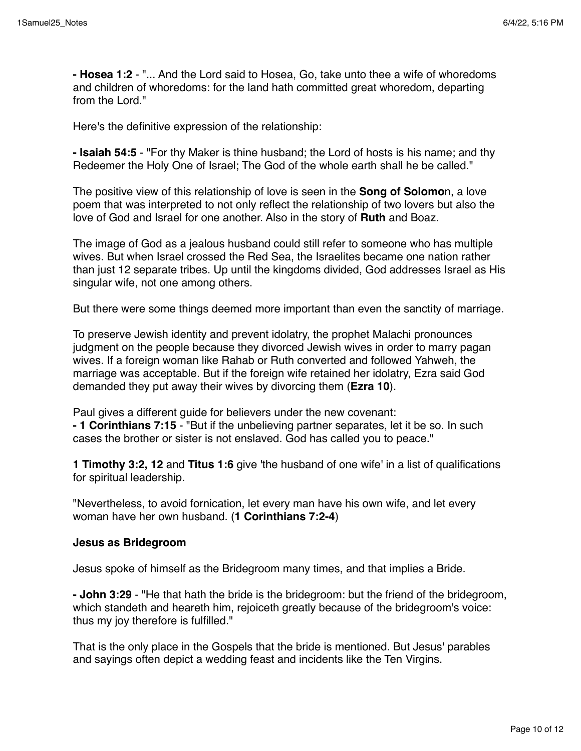**- Hosea 1:2** - "... And the Lord said to Hosea, Go, take unto thee a wife of whoredoms and children of whoredoms: for the land hath committed great whoredom, departing from the Lord."

Here's the definitive expression of the relationship:

**- Isaiah 54:5** - "For thy Maker is thine husband; the Lord of hosts is his name; and thy Redeemer the Holy One of Israel; The God of the whole earth shall he be called."

The positive view of this relationship of love is seen in the **Song of Solomo**n, a love poem that was interpreted to not only reflect the relationship of two lovers but also the love of God and Israel for one another. Also in the story of **Ruth** and Boaz.

The image of God as a jealous husband could still refer to someone who has multiple wives. But when Israel crossed the Red Sea, the Israelites became one nation rather than just 12 separate tribes. Up until the kingdoms divided, God addresses Israel as His singular wife, not one among others.

But there were some things deemed more important than even the sanctity of marriage.

To preserve Jewish identity and prevent idolatry, the prophet Malachi pronounces judgment on the people because they divorced Jewish wives in order to marry pagan wives. If a foreign woman like Rahab or Ruth converted and followed Yahweh, the marriage was acceptable. But if the foreign wife retained her idolatry, Ezra said God demanded they put away their wives by divorcing them (**Ezra 10**).

Paul gives a different guide for believers under the new covenant: **- 1 Corinthians 7:15** - "But if the unbelieving partner separates, let it be so. In such cases the brother or sister is not enslaved. God has called you to peace."

**1 Timothy 3:2, 12** and **Titus 1:6** give 'the husband of one wife' in a list of qualifications for spiritual leadership.

"Nevertheless, to avoid fornication, let every man have his own wife, and let every woman have her own husband. (**1 Corinthians 7:2-4**)

# **Jesus as Bridegroom**

Jesus spoke of himself as the Bridegroom many times, and that implies a Bride.

**- John 3:29** - "He that hath the bride is the bridegroom: but the friend of the bridegroom, which standeth and heareth him, rejoiceth greatly because of the bridegroom's voice: thus my joy therefore is fulfilled."

That is the only place in the Gospels that the bride is mentioned. But Jesus' parables and sayings often depict a wedding feast and incidents like the Ten Virgins.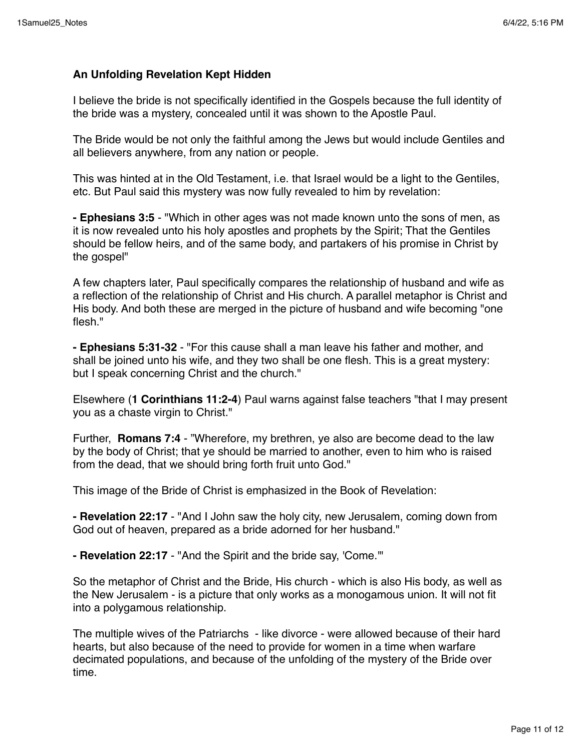# **An Unfolding Revelation Kept Hidden**

I believe the bride is not specifically identified in the Gospels because the full identity of the bride was a mystery, concealed until it was shown to the Apostle Paul.

The Bride would be not only the faithful among the Jews but would include Gentiles and all believers anywhere, from any nation or people.

This was hinted at in the Old Testament, i.e. that Israel would be a light to the Gentiles, etc. But Paul said this mystery was now fully revealed to him by revelation:

**- Ephesians 3:5** - "Which in other ages was not made known unto the sons of men, as it is now revealed unto his holy apostles and prophets by the Spirit; That the Gentiles should be fellow heirs, and of the same body, and partakers of his promise in Christ by the gospel"

A few chapters later, Paul specifically compares the relationship of husband and wife as a reflection of the relationship of Christ and His church. A parallel metaphor is Christ and His body. And both these are merged in the picture of husband and wife becoming "one flesh."

**- Ephesians 5:31-32** - "For this cause shall a man leave his father and mother, and shall be joined unto his wife, and they two shall be one flesh. This is a great mystery: but I speak concerning Christ and the church."

Elsewhere (**1 Corinthians 11:2-4**) Paul warns against false teachers "that I may present you as a chaste virgin to Christ."

Further, **Romans 7:4** - "Wherefore, my brethren, ye also are become dead to the law by the body of Christ; that ye should be married to another, even to him who is raised from the dead, that we should bring forth fruit unto God."

This image of the Bride of Christ is emphasized in the Book of Revelation:

**- Revelation 22:17** - "And I John saw the holy city, new Jerusalem, coming down from God out of heaven, prepared as a bride adorned for her husband."

**- Revelation 22:17** - "And the Spirit and the bride say, 'Come.'"

So the metaphor of Christ and the Bride, His church - which is also His body, as well as the New Jerusalem - is a picture that only works as a monogamous union. It will not fit into a polygamous relationship.

The multiple wives of the Patriarchs - like divorce - were allowed because of their hard hearts, but also because of the need to provide for women in a time when warfare decimated populations, and because of the unfolding of the mystery of the Bride over time.